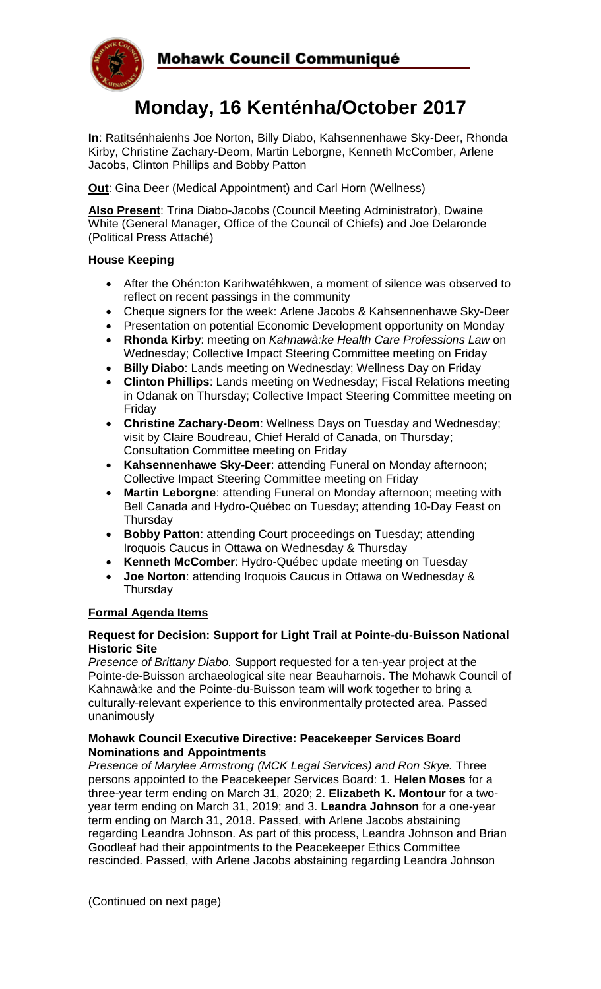

# **Monday, 16 Kenténha/October 2017**

**In**: Ratitsénhaienhs Joe Norton, Billy Diabo, Kahsennenhawe Sky-Deer, Rhonda Kirby, Christine Zachary-Deom, Martin Leborgne, Kenneth McComber, Arlene Jacobs, Clinton Phillips and Bobby Patton

**Out**: Gina Deer (Medical Appointment) and Carl Horn (Wellness)

**Also Present**: Trina Diabo-Jacobs (Council Meeting Administrator), Dwaine White (General Manager, Office of the Council of Chiefs) and Joe Delaronde (Political Press Attaché)

# **House Keeping**

- After the Ohén:ton Karihwatéhkwen, a moment of silence was observed to reflect on recent passings in the community
- Cheque signers for the week: Arlene Jacobs & Kahsennenhawe Sky-Deer
- Presentation on potential Economic Development opportunity on Monday
- **Rhonda Kirby**: meeting on *Kahnawà:ke Health Care Professions Law* on Wednesday; Collective Impact Steering Committee meeting on Friday
- **Billy Diabo**: Lands meeting on Wednesday; Wellness Day on Friday
- **Clinton Phillips**: Lands meeting on Wednesday; Fiscal Relations meeting in Odanak on Thursday; Collective Impact Steering Committee meeting on Friday
- **Christine Zachary-Deom**: Wellness Days on Tuesday and Wednesday; visit by Claire Boudreau, Chief Herald of Canada, on Thursday; Consultation Committee meeting on Friday
- **Kahsennenhawe Sky-Deer**: attending Funeral on Monday afternoon; Collective Impact Steering Committee meeting on Friday
- **Martin Leborgne**: attending Funeral on Monday afternoon; meeting with Bell Canada and Hydro-Québec on Tuesday; attending 10-Day Feast on Thursday
- **Bobby Patton**: attending Court proceedings on Tuesday; attending Iroquois Caucus in Ottawa on Wednesday & Thursday
- **Kenneth McComber**: Hydro-Québec update meeting on Tuesday
- **Joe Norton**: attending Iroquois Caucus in Ottawa on Wednesday & **Thursday**

# **Formal Agenda Items**

#### **Request for Decision: Support for Light Trail at Pointe-du-Buisson National Historic Site**

*Presence of Brittany Diabo.* Support requested for a ten-year project at the Pointe-de-Buisson archaeological site near Beauharnois. The Mohawk Council of Kahnawà:ke and the Pointe-du-Buisson team will work together to bring a culturally-relevant experience to this environmentally protected area. Passed unanimously

#### **Mohawk Council Executive Directive: Peacekeeper Services Board Nominations and Appointments**

*Presence of Marylee Armstrong (MCK Legal Services) and Ron Skye.* Three persons appointed to the Peacekeeper Services Board: 1. **Helen Moses** for a three-year term ending on March 31, 2020; 2. **Elizabeth K. Montour** for a twoyear term ending on March 31, 2019; and 3. **Leandra Johnson** for a one-year term ending on March 31, 2018. Passed, with Arlene Jacobs abstaining regarding Leandra Johnson. As part of this process, Leandra Johnson and Brian Goodleaf had their appointments to the Peacekeeper Ethics Committee rescinded. Passed, with Arlene Jacobs abstaining regarding Leandra Johnson